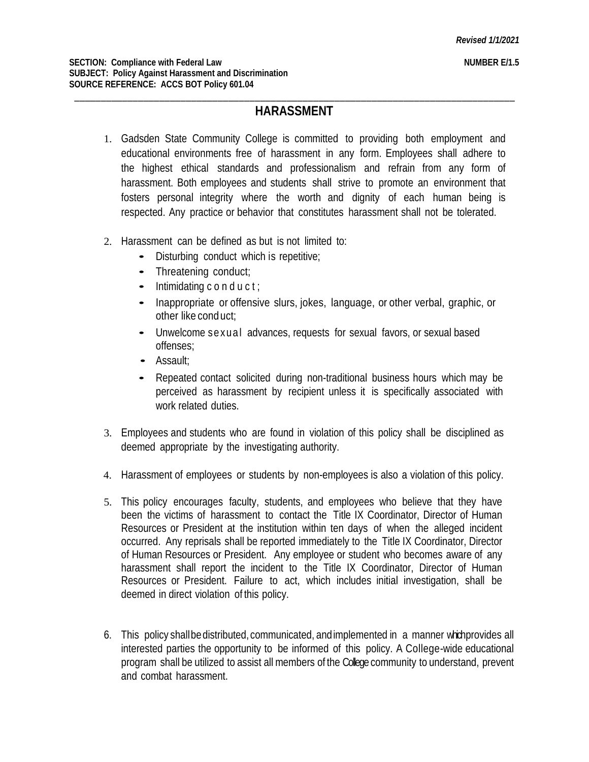## \_\_\_\_\_\_\_\_\_\_\_\_\_\_\_\_\_\_\_\_\_\_\_\_\_\_\_\_\_\_\_\_\_\_\_\_\_\_\_\_\_\_\_\_\_\_\_\_\_\_\_\_\_\_\_\_\_\_\_\_\_\_\_\_\_\_\_\_\_\_\_\_\_\_\_\_\_\_\_\_\_\_\_ **HARASSMENT**

- 1. Gadsden State Community College is committed to providing both employment and educational environments free of harassment in any form. Employees shall adhere to the highest ethical standards and professionalism and refrain from any form of harassment. Both employees and students shall strive to promote an environment that fosters personal integrity where the worth and dignity of each human being is respected. Any practice or behavior that constitutes harassment shall not be tolerated.
- 2. Harassment can be defined as but is not limited to:
	- Disturbing conduct which is repetitive;
	- Threatening conduct;
	- $\bullet$  Intimidating conduct;
	- Inappropriate or offensive slurs, jokes, language, or other verbal, graphic, or other like conduct;
	- Unwelcome sexual advances, requests for sexual favors, or sexual based offenses;
	- Assault;
	- Repeated contact solicited during non-traditional business hours which may be perceived as harassment by recipient unless it is specifically associated with work related duties.
- 3. Employees and students who are found in violation of this policy shall be disciplined as deemed appropriate by the investigating authority.
- 4. Harassment of employees or students by non-employees is also a violation of this policy.
- 5. This policy encourages faculty, students, and employees who believe that they have been the victims of harassment to contact the Title IX Coordinator, Director of Human Resources or President at the institution within ten days of when the alleged incident occurred. Any reprisals shall be reported immediately to the Title IX Coordinator, Director of Human Resources or President. Any employee or student who becomes aware of any harassment shall report the incident to the Title IX Coordinator, Director of Human Resources or President. Failure to act, which includes initial investigation, shall be deemed in direct violation of this policy.
- 6. This policy shallbedistributed, communicated, andimplemented in a manner whichprovides all interested parties the opportunity to be informed of this policy. A College-wide educational program shall be utilized to assist all members of the College community to understand, prevent and combat harassment.